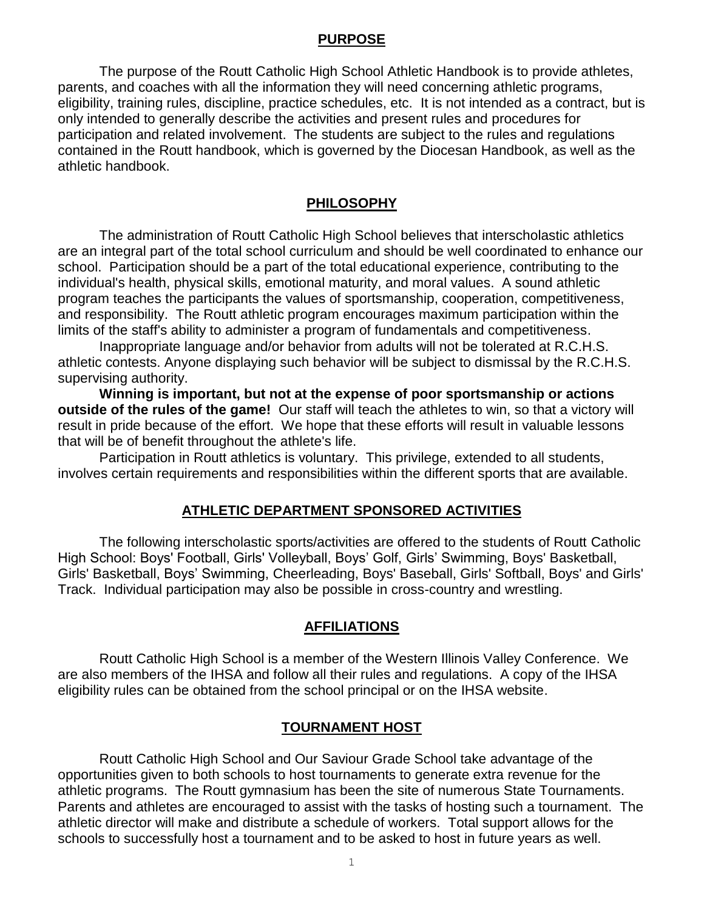#### **PURPOSE**

The purpose of the Routt Catholic High School Athletic Handbook is to provide athletes, parents, and coaches with all the information they will need concerning athletic programs, eligibility, training rules, discipline, practice schedules, etc. It is not intended as a contract, but is only intended to generally describe the activities and present rules and procedures for participation and related involvement. The students are subject to the rules and regulations contained in the Routt handbook, which is governed by the Diocesan Handbook, as well as the athletic handbook.

## **PHILOSOPHY**

The administration of Routt Catholic High School believes that interscholastic athletics are an integral part of the total school curriculum and should be well coordinated to enhance our school. Participation should be a part of the total educational experience, contributing to the individual's health, physical skills, emotional maturity, and moral values. A sound athletic program teaches the participants the values of sportsmanship, cooperation, competitiveness, and responsibility. The Routt athletic program encourages maximum participation within the limits of the staff's ability to administer a program of fundamentals and competitiveness.

Inappropriate language and/or behavior from adults will not be tolerated at R.C.H.S. athletic contests. Anyone displaying such behavior will be subject to dismissal by the R.C.H.S. supervising authority.

**Winning is important, but not at the expense of poor sportsmanship or actions outside of the rules of the game!** Our staff will teach the athletes to win, so that a victory will result in pride because of the effort. We hope that these efforts will result in valuable lessons that will be of benefit throughout the athlete's life.

Participation in Routt athletics is voluntary. This privilege, extended to all students, involves certain requirements and responsibilities within the different sports that are available.

#### **ATHLETIC DEPARTMENT SPONSORED ACTIVITIES**

The following interscholastic sports/activities are offered to the students of Routt Catholic High School: Boys' Football, Girls' Volleyball, Boys' Golf, Girls' Swimming, Boys' Basketball, Girls' Basketball, Boys' Swimming, Cheerleading, Boys' Baseball, Girls' Softball, Boys' and Girls' Track. Individual participation may also be possible in cross-country and wrestling.

## **AFFILIATIONS**

Routt Catholic High School is a member of the Western Illinois Valley Conference. We are also members of the IHSA and follow all their rules and regulations. A copy of the IHSA eligibility rules can be obtained from the school principal or on the IHSA website.

#### **TOURNAMENT HOST**

Routt Catholic High School and Our Saviour Grade School take advantage of the opportunities given to both schools to host tournaments to generate extra revenue for the athletic programs. The Routt gymnasium has been the site of numerous State Tournaments. Parents and athletes are encouraged to assist with the tasks of hosting such a tournament. The athletic director will make and distribute a schedule of workers. Total support allows for the schools to successfully host a tournament and to be asked to host in future years as well.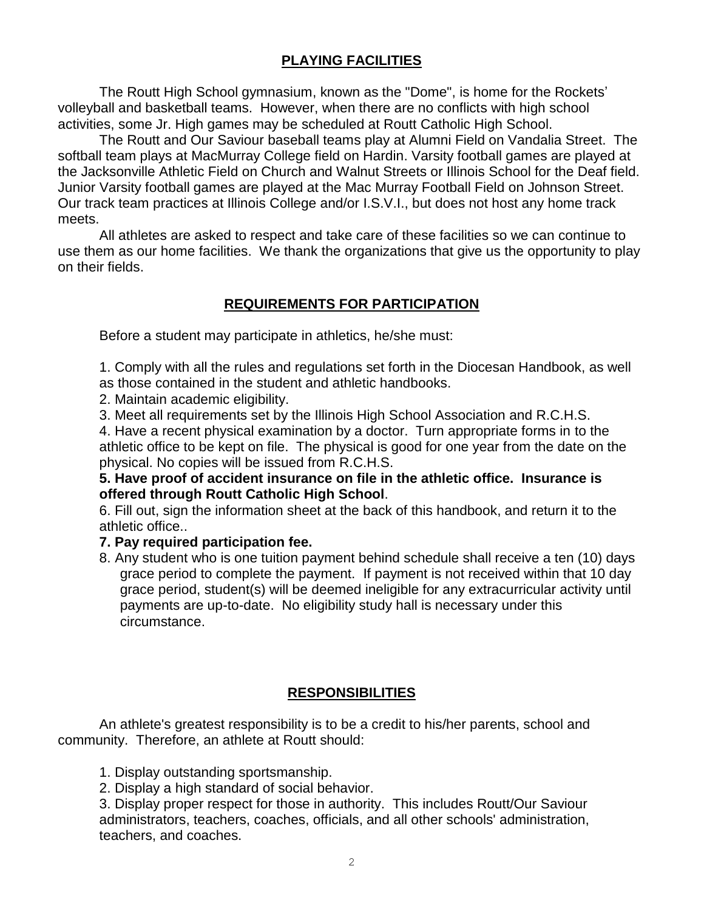# **PLAYING FACILITIES**

The Routt High School gymnasium, known as the "Dome", is home for the Rockets' volleyball and basketball teams. However, when there are no conflicts with high school activities, some Jr. High games may be scheduled at Routt Catholic High School.

The Routt and Our Saviour baseball teams play at Alumni Field on Vandalia Street. The softball team plays at MacMurray College field on Hardin. Varsity football games are played at the Jacksonville Athletic Field on Church and Walnut Streets or Illinois School for the Deaf field. Junior Varsity football games are played at the Mac Murray Football Field on Johnson Street. Our track team practices at Illinois College and/or I.S.V.I., but does not host any home track meets.

All athletes are asked to respect and take care of these facilities so we can continue to use them as our home facilities. We thank the organizations that give us the opportunity to play on their fields.

# **REQUIREMENTS FOR PARTICIPATION**

Before a student may participate in athletics, he/she must:

1. Comply with all the rules and regulations set forth in the Diocesan Handbook, as well as those contained in the student and athletic handbooks.

2. Maintain academic eligibility.

3. Meet all requirements set by the Illinois High School Association and R.C.H.S.

4. Have a recent physical examination by a doctor. Turn appropriate forms in to the athletic office to be kept on file. The physical is good for one year from the date on the physical. No copies will be issued from R.C.H.S.

**5. Have proof of accident insurance on file in the athletic office. Insurance is offered through Routt Catholic High School**.

6. Fill out, sign the information sheet at the back of this handbook, and return it to the athletic office..

## **7. Pay required participation fee.**

8. Any student who is one tuition payment behind schedule shall receive a ten (10) days grace period to complete the payment. If payment is not received within that 10 day grace period, student(s) will be deemed ineligible for any extracurricular activity until payments are up-to-date. No eligibility study hall is necessary under this circumstance.

# **RESPONSIBILITIES**

An athlete's greatest responsibility is to be a credit to his/her parents, school and community. Therefore, an athlete at Routt should:

1. Display outstanding sportsmanship.

2. Display a high standard of social behavior.

3. Display proper respect for those in authority. This includes Routt/Our Saviour administrators, teachers, coaches, officials, and all other schools' administration, teachers, and coaches.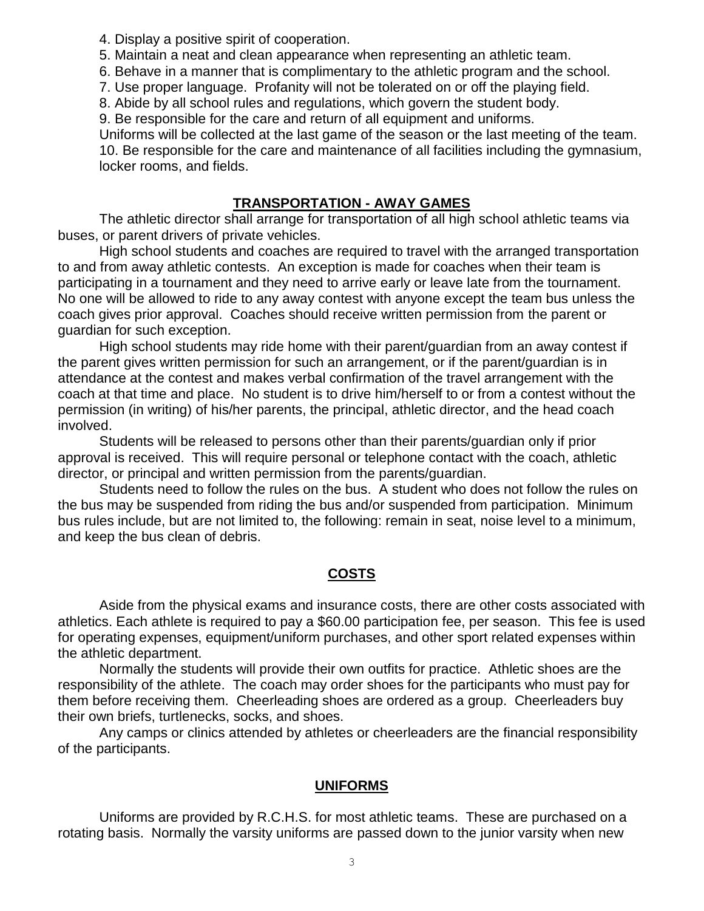4. Display a positive spirit of cooperation.

5. Maintain a neat and clean appearance when representing an athletic team.

6. Behave in a manner that is complimentary to the athletic program and the school.

7. Use proper language. Profanity will not be tolerated on or off the playing field.

8. Abide by all school rules and regulations, which govern the student body.

9. Be responsible for the care and return of all equipment and uniforms.

Uniforms will be collected at the last game of the season or the last meeting of the team. 10. Be responsible for the care and maintenance of all facilities including the gymnasium, locker rooms, and fields.

## **TRANSPORTATION - AWAY GAMES**

The athletic director shall arrange for transportation of all high school athletic teams via buses, or parent drivers of private vehicles.

High school students and coaches are required to travel with the arranged transportation to and from away athletic contests. An exception is made for coaches when their team is participating in a tournament and they need to arrive early or leave late from the tournament. No one will be allowed to ride to any away contest with anyone except the team bus unless the coach gives prior approval. Coaches should receive written permission from the parent or guardian for such exception.

High school students may ride home with their parent/guardian from an away contest if the parent gives written permission for such an arrangement, or if the parent/guardian is in attendance at the contest and makes verbal confirmation of the travel arrangement with the coach at that time and place. No student is to drive him/herself to or from a contest without the permission (in writing) of his/her parents, the principal, athletic director, and the head coach involved.

Students will be released to persons other than their parents/guardian only if prior approval is received. This will require personal or telephone contact with the coach, athletic director, or principal and written permission from the parents/guardian.

Students need to follow the rules on the bus. A student who does not follow the rules on the bus may be suspended from riding the bus and/or suspended from participation. Minimum bus rules include, but are not limited to, the following: remain in seat, noise level to a minimum, and keep the bus clean of debris.

# **COSTS**

Aside from the physical exams and insurance costs, there are other costs associated with athletics. Each athlete is required to pay a \$60.00 participation fee, per season. This fee is used for operating expenses, equipment/uniform purchases, and other sport related expenses within the athletic department.

Normally the students will provide their own outfits for practice. Athletic shoes are the responsibility of the athlete. The coach may order shoes for the participants who must pay for them before receiving them. Cheerleading shoes are ordered as a group. Cheerleaders buy their own briefs, turtlenecks, socks, and shoes.

 Any camps or clinics attended by athletes or cheerleaders are the financial responsibility of the participants.

# **UNIFORMS**

Uniforms are provided by R.C.H.S. for most athletic teams. These are purchased on a rotating basis. Normally the varsity uniforms are passed down to the junior varsity when new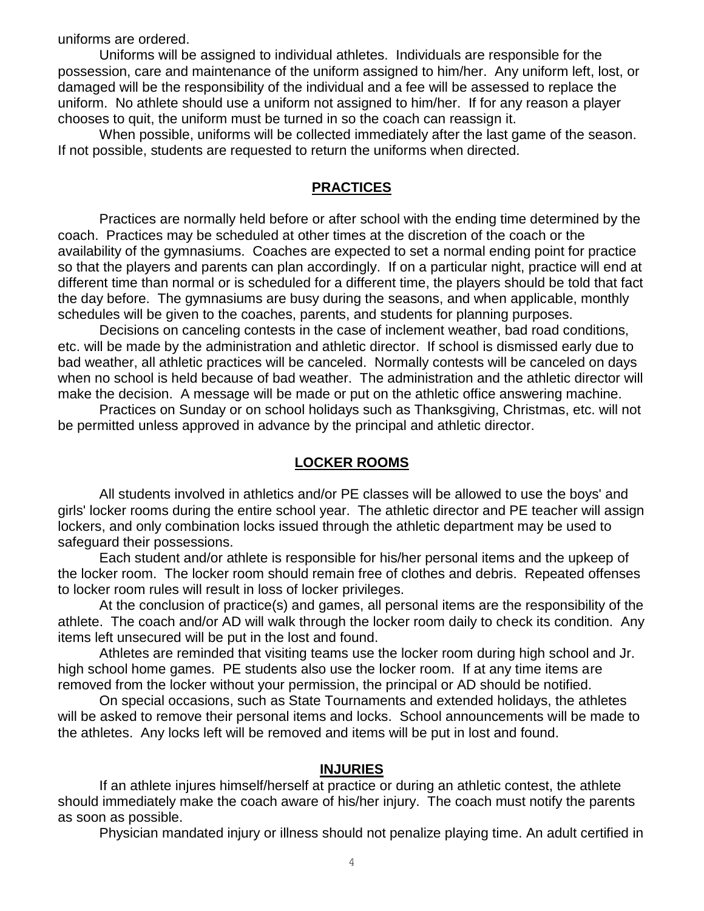uniforms are ordered.

Uniforms will be assigned to individual athletes. Individuals are responsible for the possession, care and maintenance of the uniform assigned to him/her. Any uniform left, lost, or damaged will be the responsibility of the individual and a fee will be assessed to replace the uniform. No athlete should use a uniform not assigned to him/her. If for any reason a player chooses to quit, the uniform must be turned in so the coach can reassign it.

When possible, uniforms will be collected immediately after the last game of the season. If not possible, students are requested to return the uniforms when directed.

#### **PRACTICES**

Practices are normally held before or after school with the ending time determined by the coach. Practices may be scheduled at other times at the discretion of the coach or the availability of the gymnasiums. Coaches are expected to set a normal ending point for practice so that the players and parents can plan accordingly. If on a particular night, practice will end at different time than normal or is scheduled for a different time, the players should be told that fact the day before. The gymnasiums are busy during the seasons, and when applicable, monthly schedules will be given to the coaches, parents, and students for planning purposes.

Decisions on canceling contests in the case of inclement weather, bad road conditions, etc. will be made by the administration and athletic director. If school is dismissed early due to bad weather, all athletic practices will be canceled. Normally contests will be canceled on days when no school is held because of bad weather. The administration and the athletic director will make the decision. A message will be made or put on the athletic office answering machine.

Practices on Sunday or on school holidays such as Thanksgiving, Christmas, etc. will not be permitted unless approved in advance by the principal and athletic director.

## **LOCKER ROOMS**

All students involved in athletics and/or PE classes will be allowed to use the boys' and girls' locker rooms during the entire school year. The athletic director and PE teacher will assign lockers, and only combination locks issued through the athletic department may be used to safeguard their possessions.

Each student and/or athlete is responsible for his/her personal items and the upkeep of the locker room. The locker room should remain free of clothes and debris. Repeated offenses to locker room rules will result in loss of locker privileges.

At the conclusion of practice(s) and games, all personal items are the responsibility of the athlete. The coach and/or AD will walk through the locker room daily to check its condition. Any items left unsecured will be put in the lost and found.

Athletes are reminded that visiting teams use the locker room during high school and Jr. high school home games. PE students also use the locker room. If at any time items are removed from the locker without your permission, the principal or AD should be notified.

On special occasions, such as State Tournaments and extended holidays, the athletes will be asked to remove their personal items and locks. School announcements will be made to the athletes. Any locks left will be removed and items will be put in lost and found.

#### **INJURIES**

If an athlete injures himself/herself at practice or during an athletic contest, the athlete should immediately make the coach aware of his/her injury. The coach must notify the parents as soon as possible.

Physician mandated injury or illness should not penalize playing time. An adult certified in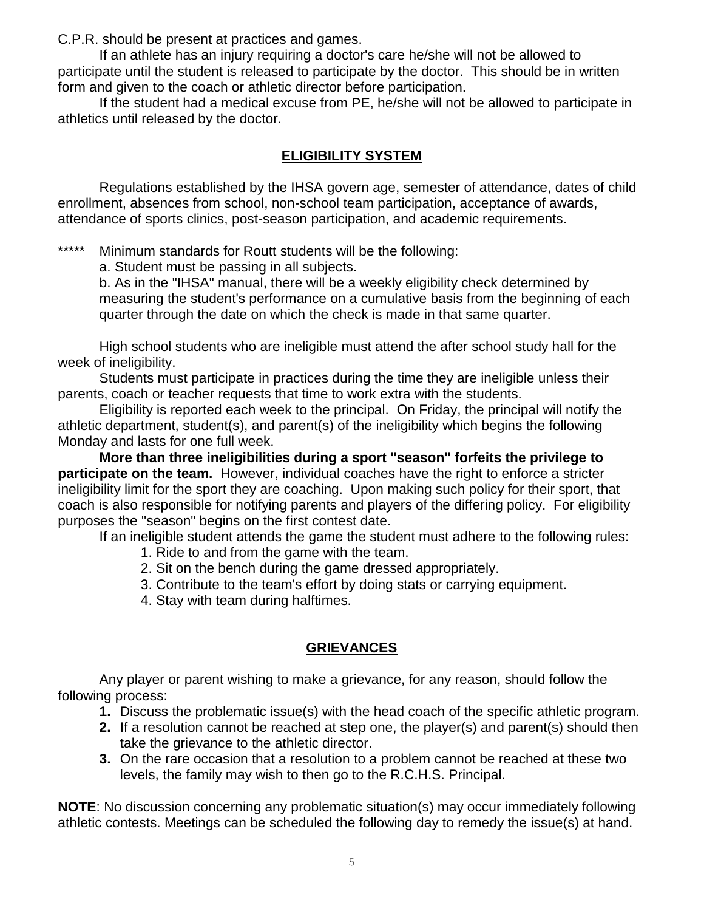C.P.R. should be present at practices and games.

If an athlete has an injury requiring a doctor's care he/she will not be allowed to participate until the student is released to participate by the doctor. This should be in written form and given to the coach or athletic director before participation.

If the student had a medical excuse from PE, he/she will not be allowed to participate in athletics until released by the doctor.

# **ELIGIBILITY SYSTEM**

Regulations established by the IHSA govern age, semester of attendance, dates of child enrollment, absences from school, non-school team participation, acceptance of awards, attendance of sports clinics, post-season participation, and academic requirements.

\*\*\*\*\* Minimum standards for Routt students will be the following:

a. Student must be passing in all subjects.

b. As in the "IHSA" manual, there will be a weekly eligibility check determined by measuring the student's performance on a cumulative basis from the beginning of each quarter through the date on which the check is made in that same quarter.

High school students who are ineligible must attend the after school study hall for the week of ineligibility.

 Students must participate in practices during the time they are ineligible unless their parents, coach or teacher requests that time to work extra with the students.

Eligibility is reported each week to the principal. On Friday, the principal will notify the athletic department, student(s), and parent(s) of the ineligibility which begins the following Monday and lasts for one full week.

**More than three ineligibilities during a sport "season" forfeits the privilege to participate on the team.** However, individual coaches have the right to enforce a stricter ineligibility limit for the sport they are coaching. Upon making such policy for their sport, that coach is also responsible for notifying parents and players of the differing policy. For eligibility purposes the "season" begins on the first contest date.

If an ineligible student attends the game the student must adhere to the following rules:

- 1. Ride to and from the game with the team.
- 2. Sit on the bench during the game dressed appropriately.
- 3. Contribute to the team's effort by doing stats or carrying equipment.
- 4. Stay with team during halftimes.

# **GRIEVANCES**

Any player or parent wishing to make a grievance, for any reason, should follow the following process:

- **1.** Discuss the problematic issue(s) with the head coach of the specific athletic program.
- **2.** If a resolution cannot be reached at step one, the player(s) and parent(s) should then take the grievance to the athletic director.
- **3.** On the rare occasion that a resolution to a problem cannot be reached at these two levels, the family may wish to then go to the R.C.H.S. Principal.

**NOTE**: No discussion concerning any problematic situation(s) may occur immediately following athletic contests. Meetings can be scheduled the following day to remedy the issue(s) at hand.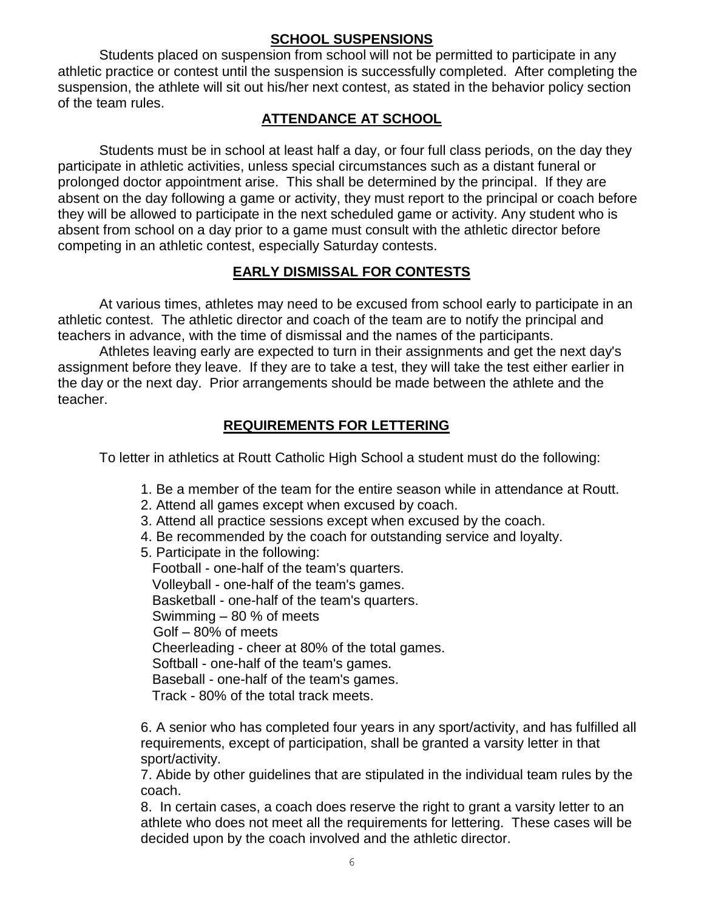## **SCHOOL SUSPENSIONS**

Students placed on suspension from school will not be permitted to participate in any athletic practice or contest until the suspension is successfully completed. After completing the suspension, the athlete will sit out his/her next contest, as stated in the behavior policy section of the team rules.

# **ATTENDANCE AT SCHOOL**

Students must be in school at least half a day, or four full class periods, on the day they participate in athletic activities, unless special circumstances such as a distant funeral or prolonged doctor appointment arise. This shall be determined by the principal. If they are absent on the day following a game or activity, they must report to the principal or coach before they will be allowed to participate in the next scheduled game or activity. Any student who is absent from school on a day prior to a game must consult with the athletic director before competing in an athletic contest, especially Saturday contests.

# **EARLY DISMISSAL FOR CONTESTS**

At various times, athletes may need to be excused from school early to participate in an athletic contest. The athletic director and coach of the team are to notify the principal and teachers in advance, with the time of dismissal and the names of the participants.

Athletes leaving early are expected to turn in their assignments and get the next day's assignment before they leave. If they are to take a test, they will take the test either earlier in the day or the next day. Prior arrangements should be made between the athlete and the teacher.

# **REQUIREMENTS FOR LETTERING**

To letter in athletics at Routt Catholic High School a student must do the following:

- 1. Be a member of the team for the entire season while in attendance at Routt.
- 2. Attend all games except when excused by coach.
- 3. Attend all practice sessions except when excused by the coach.
- 4. Be recommended by the coach for outstanding service and loyalty.
- 5. Participate in the following:

 Football - one-half of the team's quarters. Volleyball - one-half of the team's games. Basketball - one-half of the team's quarters. Swimming – 80 % of meets Golf – 80% of meets Cheerleading - cheer at 80% of the total games. Softball - one-half of the team's games. Baseball - one-half of the team's games. Track - 80% of the total track meets.

6. A senior who has completed four years in any sport/activity, and has fulfilled all requirements, except of participation, shall be granted a varsity letter in that sport/activity.

7. Abide by other guidelines that are stipulated in the individual team rules by the coach.

8. In certain cases, a coach does reserve the right to grant a varsity letter to an athlete who does not meet all the requirements for lettering. These cases will be decided upon by the coach involved and the athletic director.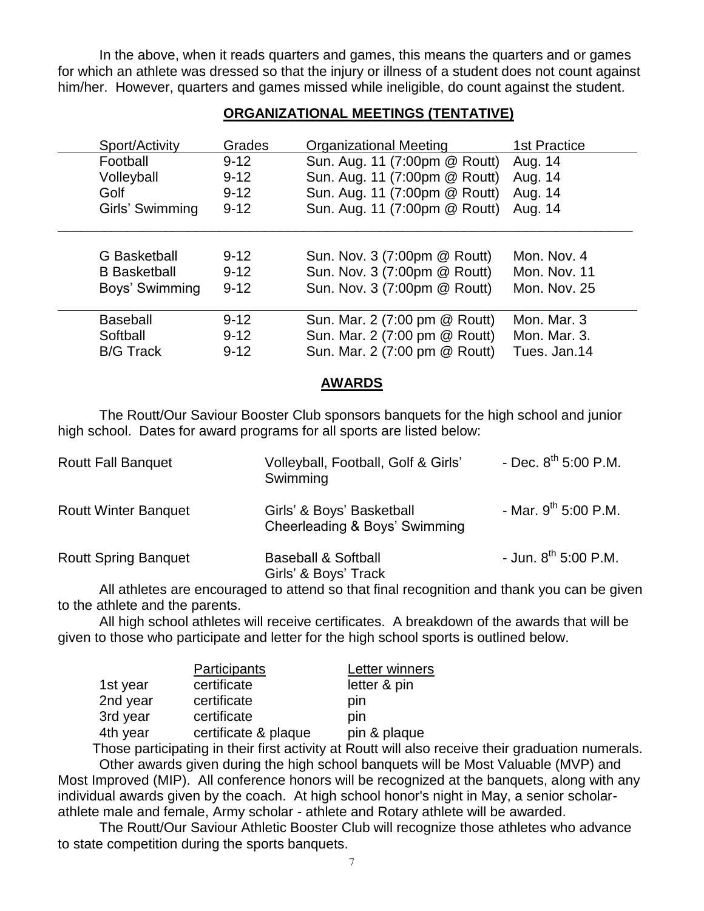In the above, when it reads quarters and games, this means the quarters and or games for which an athlete was dressed so that the injury or illness of a student does not count against him/her. However, quarters and games missed while ineligible, do count against the student.

## **ORGANIZATIONAL MEETINGS (TENTATIVE)**

| Sport/Activity      | Grades   | <b>Organizational Meeting</b> | <b>1st Practice</b> |
|---------------------|----------|-------------------------------|---------------------|
| Football            | $9 - 12$ | Sun. Aug. 11 (7:00pm @ Routt) | Aug. 14             |
| Volleyball          | $9 - 12$ | Sun. Aug. 11 (7:00pm @ Routt) | Aug. 14             |
| Golf                | $9 - 12$ | Sun. Aug. 11 (7:00pm @ Routt) | Aug. 14             |
| Girls' Swimming     | $9 - 12$ | Sun. Aug. 11 (7:00pm @ Routt) | Aug. 14             |
|                     |          |                               |                     |
| <b>G</b> Basketball | $9 - 12$ | Sun. Nov. 3 (7:00pm @ Routt)  | Mon. Nov. 4         |
| <b>B</b> Basketball | $9 - 12$ | Sun. Nov. 3 (7:00pm @ Routt)  | Mon. Nov. 11        |
| Boys' Swimming      | $9 - 12$ | Sun. Nov. 3 (7:00pm @ Routt)  | Mon. Nov. 25        |
| <b>Baseball</b>     | $9 - 12$ | Sun. Mar. 2 (7:00 pm @ Routt) | Mon. Mar. 3         |
| Softball            | $9 - 12$ | Sun. Mar. 2 (7:00 pm @ Routt) | Mon. Mar. 3.        |
| <b>B/G Track</b>    | $9 - 12$ | Sun. Mar. 2 (7:00 pm @ Routt) | Tues. Jan.14        |

#### **AWARDS**

The Routt/Our Saviour Booster Club sponsors banquets for the high school and junior high school. Dates for award programs for all sports are listed below:

| <b>Routt Fall Banquet</b>   | Volleyball, Football, Golf & Girls'<br>Swimming            | - Dec. $8^{th}$ 5:00 P.M. |
|-----------------------------|------------------------------------------------------------|---------------------------|
| <b>Routt Winter Banquet</b> | Girls' & Boys' Basketball<br>Cheerleading & Boys' Swimming | - Mar. $9^{th}$ 5:00 P.M. |
| <b>Routt Spring Banquet</b> | <b>Baseball &amp; Softball</b><br>Girls' & Boys' Track     | - Jun. $8^{th}$ 5:00 P.M. |

All athletes are encouraged to attend so that final recognition and thank you can be given to the athlete and the parents.

All high school athletes will receive certificates. A breakdown of the awards that will be given to those who participate and letter for the high school sports is outlined below.

|          | Participants         | Letter winners |
|----------|----------------------|----------------|
| 1st year | certificate          | letter & pin   |
| 2nd year | certificate          | pin            |
| 3rd year | certificate          | pin            |
| 4th year | certificate & plaque | pin & plaque   |

 Those participating in their first activity at Routt will also receive their graduation numerals. Other awards given during the high school banquets will be Most Valuable (MVP) and Most Improved (MIP). All conference honors will be recognized at the banquets, along with any individual awards given by the coach. At high school honor's night in May, a senior scholarathlete male and female, Army scholar - athlete and Rotary athlete will be awarded.

The Routt/Our Saviour Athletic Booster Club will recognize those athletes who advance to state competition during the sports banquets.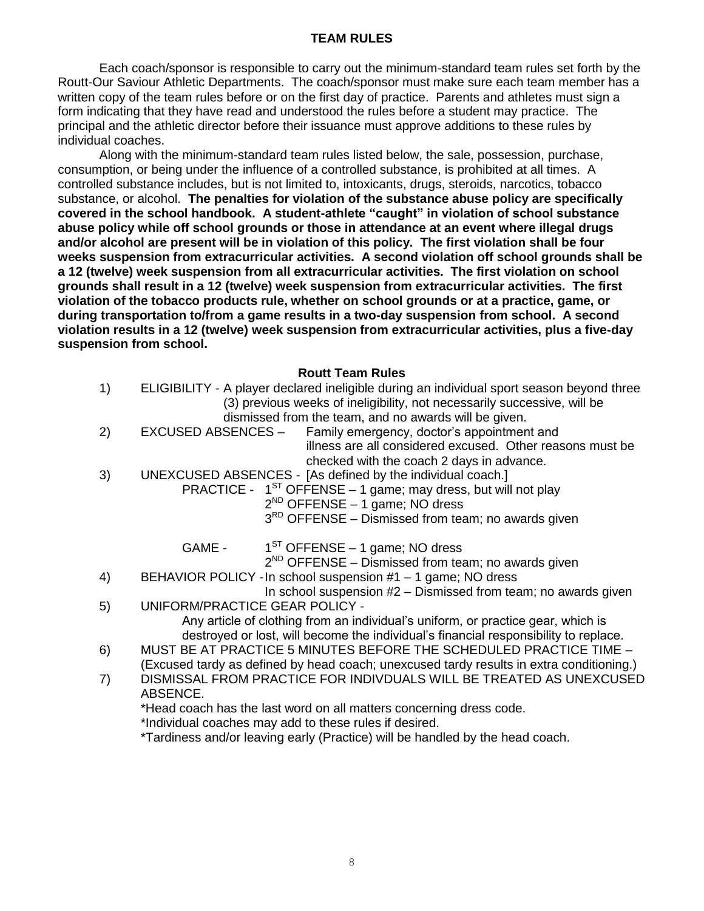## **TEAM RULES**

Each coach/sponsor is responsible to carry out the minimum-standard team rules set forth by the Routt-Our Saviour Athletic Departments. The coach/sponsor must make sure each team member has a written copy of the team rules before or on the first day of practice. Parents and athletes must sign a form indicating that they have read and understood the rules before a student may practice. The principal and the athletic director before their issuance must approve additions to these rules by individual coaches.

Along with the minimum-standard team rules listed below, the sale, possession, purchase, consumption, or being under the influence of a controlled substance, is prohibited at all times. A controlled substance includes, but is not limited to, intoxicants, drugs, steroids, narcotics, tobacco substance, or alcohol. **The penalties for violation of the substance abuse policy are specifically covered in the school handbook. A student-athlete "caught" in violation of school substance abuse policy while off school grounds or those in attendance at an event where illegal drugs and/or alcohol are present will be in violation of this policy. The first violation shall be four weeks suspension from extracurricular activities. A second violation off school grounds shall be a 12 (twelve) week suspension from all extracurricular activities. The first violation on school grounds shall result in a 12 (twelve) week suspension from extracurricular activities. The first violation of the tobacco products rule, whether on school grounds or at a practice, game, or during transportation to/from a game results in a two-day suspension from school. A second violation results in a 12 (twelve) week suspension from extracurricular activities, plus a five-day suspension from school.**

#### **Routt Team Rules**

- 1) ELIGIBILITY A player declared ineligible during an individual sport season beyond three (3) previous weeks of ineligibility, not necessarily successive, will be dismissed from the team, and no awards will be given.
- 2) EXCUSED ABSENCES Family emergency, doctor's appointment and illness are all considered excused. Other reasons must be checked with the coach 2 days in advance.
- 3) UNEXCUSED ABSENCES [As defined by the individual coach.]
	- PRACTICE  $1^{ST}$  OFFENSE 1 game; may dress, but will not play
		- 2<sup>ND</sup> OFFENSE 1 game; NO dress
		- 3<sup>RD</sup> OFFENSE Dismissed from team; no awards given
		- GAME 1  $1<sup>ST</sup>$  OFFENSE – 1 game; NO dress

2<sup>ND</sup> OFFENSE – Dismissed from team; no awards given

- 4) BEHAVIOR POLICY -In school suspension #1 1 game; NO dress
- In school suspension  $#2 -$  Dismissed from team; no awards given 5) UNIFORM/PRACTICE GEAR POLICY -

Any article of clothing from an individual's uniform, or practice gear, which is destroyed or lost, will become the individual's financial responsibility to replace.

- 6) MUST BE AT PRACTICE 5 MINUTES BEFORE THE SCHEDULED PRACTICE TIME (Excused tardy as defined by head coach; unexcused tardy results in extra conditioning.)
- 7) DISMISSAL FROM PRACTICE FOR INDIVDUALS WILL BE TREATED AS UNEXCUSED ABSENCE.

\*Head coach has the last word on all matters concerning dress code.

\*Individual coaches may add to these rules if desired.

\*Tardiness and/or leaving early (Practice) will be handled by the head coach.